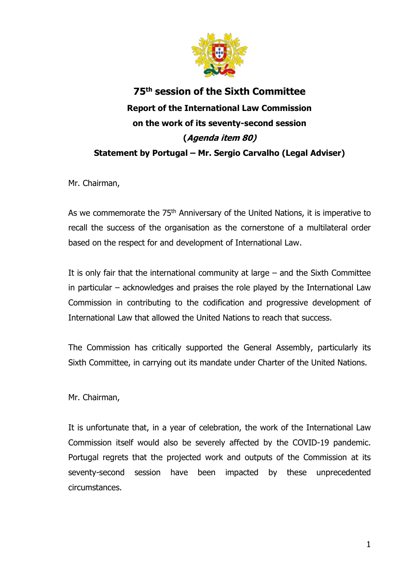

## **75th session of the Sixth Committee Report of the International Law Commission on the work of its seventy-second session (Agenda item 80) Statement by Portugal – Mr. Sergio Carvalho (Legal Adviser)**

Mr. Chairman,

As we commemorate the 75<sup>th</sup> Anniversary of the United Nations, it is imperative to recall the success of the organisation as the cornerstone of a multilateral order based on the respect for and development of International Law.

It is only fair that the international community at large – and the Sixth Committee in particular – acknowledges and praises the role played by the International Law Commission in contributing to the codification and progressive development of International Law that allowed the United Nations to reach that success.

The Commission has critically supported the General Assembly, particularly its Sixth Committee, in carrying out its mandate under Charter of the United Nations.

Mr. Chairman,

It is unfortunate that, in a year of celebration, the work of the International Law Commission itself would also be severely affected by the COVID-19 pandemic. Portugal regrets that the projected work and outputs of the Commission at its seventy-second session have been impacted by these unprecedented circumstances.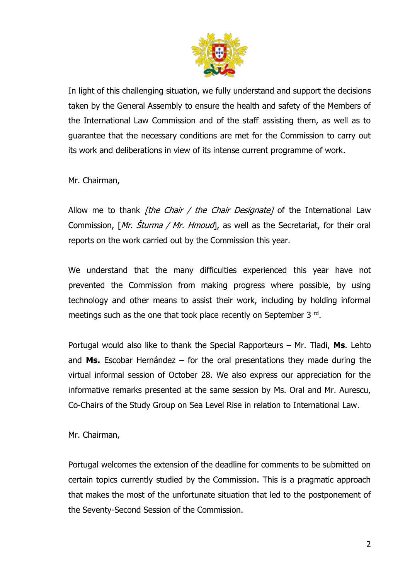

In light of this challenging situation, we fully understand and support the decisions taken by the General Assembly to ensure the health and safety of the Members of the International Law Commission and of the staff assisting them, as well as to guarantee that the necessary conditions are met for the Commission to carry out its work and deliberations in view of its intense current programme of work.

Mr. Chairman,

Allow me to thank *[the Chair / the Chair Designate]* of the International Law Commission, [Mr. Sturma / Mr. Hmoud], as well as the Secretariat, for their oral reports on the work carried out by the Commission this year.

We understand that the many difficulties experienced this year have not prevented the Commission from making progress where possible, by using technology and other means to assist their work, including by holding informal meetings such as the one that took place recently on September 3 <sup>rd</sup>.

Portugal would also like to thank the Special Rapporteurs – Mr. Tladi, **Ms**. Lehto and **Ms.** Escobar Hernández – for the oral presentations they made during the virtual informal session of October 28. We also express our appreciation for the informative remarks presented at the same session by Ms. Oral and Mr. Aurescu, Co-Chairs of the Study Group on Sea Level Rise in relation to International Law.

Mr. Chairman,

Portugal welcomes the extension of the deadline for comments to be submitted on certain topics currently studied by the Commission. This is a pragmatic approach that makes the most of the unfortunate situation that led to the postponement of the Seventy-Second Session of the Commission.